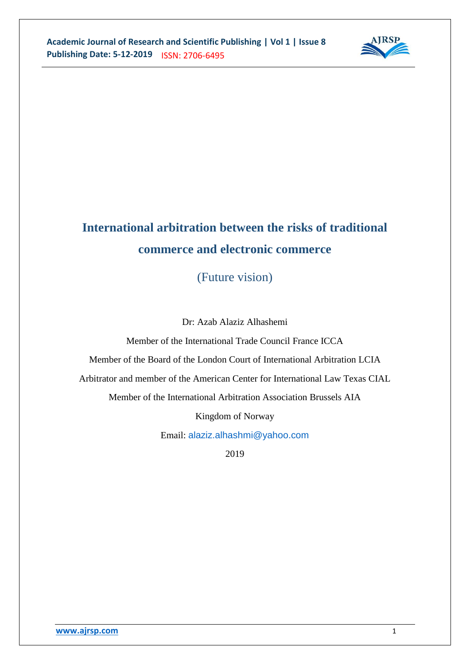

# **International arbitration between the risks of traditional commerce and electronic commerce**

(Future vision)

Dr: Azab Alaziz Alhashemi

Member of the International Trade Council France ICCA

Member of the Board of the London Court of International Arbitration LCIA

Arbitrator and member of the American Center for International Law Texas CIAL

Member of the International Arbitration Association Brussels AIA

Kingdom of Norway

Email: [alaziz.alhashmi@yahoo.com](mailto:alaziz.alhashmi@yahoo.com)

2019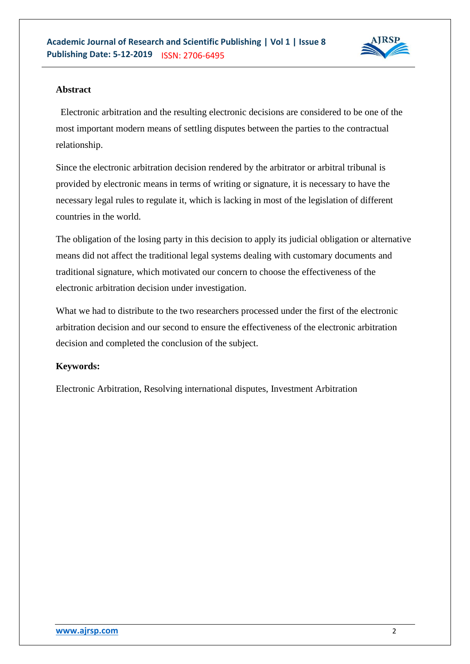

## **Abstract**

 Electronic arbitration and the resulting electronic decisions are considered to be one of the most important modern means of settling disputes between the parties to the contractual relationship.

Since the electronic arbitration decision rendered by the arbitrator or arbitral tribunal is provided by electronic means in terms of writing or signature, it is necessary to have the necessary legal rules to regulate it, which is lacking in most of the legislation of different countries in the world.

The obligation of the losing party in this decision to apply its judicial obligation or alternative means did not affect the traditional legal systems dealing with customary documents and traditional signature, which motivated our concern to choose the effectiveness of the electronic arbitration decision under investigation.

What we had to distribute to the two researchers processed under the first of the electronic arbitration decision and our second to ensure the effectiveness of the electronic arbitration decision and completed the conclusion of the subject.

# **Keywords:**

Electronic Arbitration, Resolving international disputes, Investment Arbitration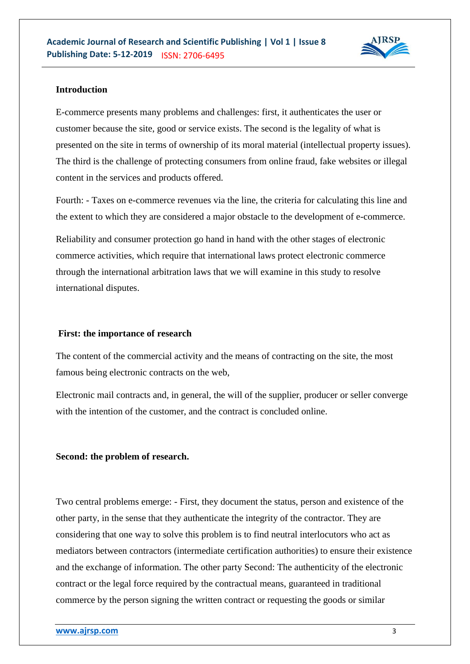

## **Introduction**

E-commerce presents many problems and challenges: first, it authenticates the user or customer because the site, good or service exists. The second is the legality of what is presented on the site in terms of ownership of its moral material (intellectual property issues). The third is the challenge of protecting consumers from online fraud, fake websites or illegal content in the services and products offered.

Fourth: - Taxes on e-commerce revenues via the line, the criteria for calculating this line and the extent to which they are considered a major obstacle to the development of e-commerce.

Reliability and consumer protection go hand in hand with the other stages of electronic commerce activities, which require that international laws protect electronic commerce through the international arbitration laws that we will examine in this study to resolve international disputes.

#### **First: the importance of research**

The content of the commercial activity and the means of contracting on the site, the most famous being electronic contracts on the web,

Electronic mail contracts and, in general, the will of the supplier, producer or seller converge with the intention of the customer, and the contract is concluded online.

#### **Second: the problem of research.**

Two central problems emerge: - First, they document the status, person and existence of the other party, in the sense that they authenticate the integrity of the contractor. They are considering that one way to solve this problem is to find neutral interlocutors who act as mediators between contractors (intermediate certification authorities) to ensure their existence and the exchange of information. The other party Second: The authenticity of the electronic contract or the legal force required by the contractual means, guaranteed in traditional commerce by the person signing the written contract or requesting the goods or similar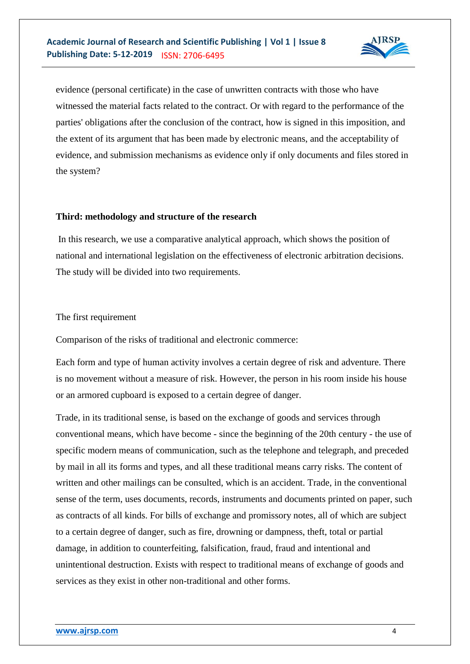

evidence (personal certificate) in the case of unwritten contracts with those who have witnessed the material facts related to the contract. Or with regard to the performance of the parties' obligations after the conclusion of the contract, how is signed in this imposition, and the extent of its argument that has been made by electronic means, and the acceptability of evidence, and submission mechanisms as evidence only if only documents and files stored in the system?

## **Third: methodology and structure of the research**

In this research, we use a comparative analytical approach, which shows the position of national and international legislation on the effectiveness of electronic arbitration decisions. The study will be divided into two requirements.

#### The first requirement

Comparison of the risks of traditional and electronic commerce:

Each form and type of human activity involves a certain degree of risk and adventure. There is no movement without a measure of risk. However, the person in his room inside his house or an armored cupboard is exposed to a certain degree of danger.

Trade, in its traditional sense, is based on the exchange of goods and services through conventional means, which have become - since the beginning of the 20th century - the use of specific modern means of communication, such as the telephone and telegraph, and preceded by mail in all its forms and types, and all these traditional means carry risks. The content of written and other mailings can be consulted, which is an accident. Trade, in the conventional sense of the term, uses documents, records, instruments and documents printed on paper, such as contracts of all kinds. For bills of exchange and promissory notes, all of which are subject to a certain degree of danger, such as fire, drowning or dampness, theft, total or partial damage, in addition to counterfeiting, falsification, fraud, fraud and intentional and unintentional destruction. Exists with respect to traditional means of exchange of goods and services as they exist in other non-traditional and other forms.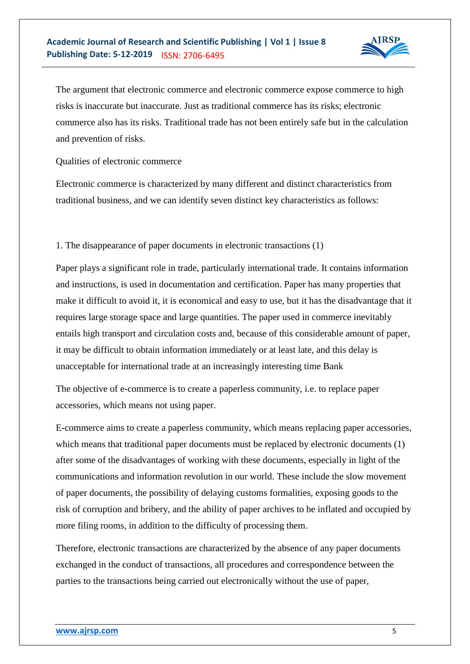

The argument that electronic commerce and electronic commerce expose commerce to high risks is inaccurate but inaccurate. Just as traditional commerce has its risks; electronic commerce also has its risks. Traditional trade has not been entirely safe but in the calculation and prevention of risks.

Qualities of electronic commerce

Electronic commerce is characterized by many different and distinct characteristics from traditional business, and we can identify seven distinct key characteristics as follows:

1. The disappearance of paper documents in electronic transactions (1)

Paper plays a significant role in trade, particularly international trade. It contains information and instructions, is used in documentation and certification. Paper has many properties that make it difficult to avoid it, it is economical and easy to use, but it has the disadvantage that it requires large storage space and large quantities. The paper used in commerce inevitably entails high transport and circulation costs and, because of this considerable amount of paper, it may be difficult to obtain information immediately or at least late, and this delay is unacceptable for international trade at an increasingly interesting time Bank

The objective of e-commerce is to create a paperless community, i.e. to replace paper accessories, which means not using paper.

E-commerce aims to create a paperless community, which means replacing paper accessories, which means that traditional paper documents must be replaced by electronic documents (1) after some of the disadvantages of working with these documents, especially in light of the communications and information revolution in our world. These include the slow movement of paper documents, the possibility of delaying customs formalities, exposing goods to the risk of corruption and bribery, and the ability of paper archives to be inflated and occupied by more filing rooms, in addition to the difficulty of processing them.

Therefore, electronic transactions are characterized by the absence of any paper documents exchanged in the conduct of transactions, all procedures and correspondence between the parties to the transactions being carried out electronically without the use of paper,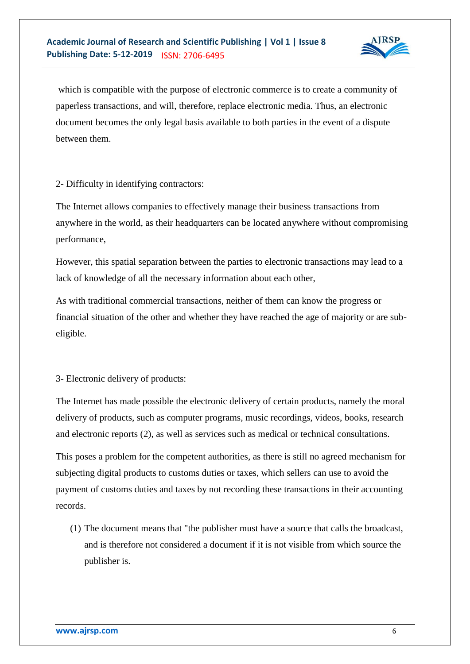

which is compatible with the purpose of electronic commerce is to create a community of paperless transactions, and will, therefore, replace electronic media. Thus, an electronic document becomes the only legal basis available to both parties in the event of a dispute between them.

2- Difficulty in identifying contractors:

The Internet allows companies to effectively manage their business transactions from anywhere in the world, as their headquarters can be located anywhere without compromising performance,

However, this spatial separation between the parties to electronic transactions may lead to a lack of knowledge of all the necessary information about each other,

As with traditional commercial transactions, neither of them can know the progress or financial situation of the other and whether they have reached the age of majority or are subeligible.

3- Electronic delivery of products:

The Internet has made possible the electronic delivery of certain products, namely the moral delivery of products, such as computer programs, music recordings, videos, books, research and electronic reports (2), as well as services such as medical or technical consultations.

This poses a problem for the competent authorities, as there is still no agreed mechanism for subjecting digital products to customs duties or taxes, which sellers can use to avoid the payment of customs duties and taxes by not recording these transactions in their accounting records.

(1) The document means that "the publisher must have a source that calls the broadcast, and is therefore not considered a document if it is not visible from which source the publisher is.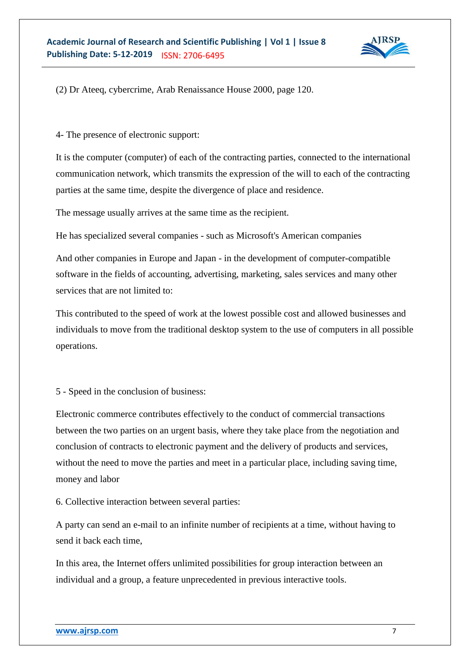

(2) Dr Ateeq, cybercrime, Arab Renaissance House 2000, page 120.

4- The presence of electronic support:

It is the computer (computer) of each of the contracting parties, connected to the international communication network, which transmits the expression of the will to each of the contracting parties at the same time, despite the divergence of place and residence.

The message usually arrives at the same time as the recipient.

He has specialized several companies - such as Microsoft's American companies

And other companies in Europe and Japan - in the development of computer-compatible software in the fields of accounting, advertising, marketing, sales services and many other services that are not limited to:

This contributed to the speed of work at the lowest possible cost and allowed businesses and individuals to move from the traditional desktop system to the use of computers in all possible operations.

5 - Speed in the conclusion of business:

Electronic commerce contributes effectively to the conduct of commercial transactions between the two parties on an urgent basis, where they take place from the negotiation and conclusion of contracts to electronic payment and the delivery of products and services, without the need to move the parties and meet in a particular place, including saving time, money and labor

6. Collective interaction between several parties:

A party can send an e-mail to an infinite number of recipients at a time, without having to send it back each time,

In this area, the Internet offers unlimited possibilities for group interaction between an individual and a group, a feature unprecedented in previous interactive tools.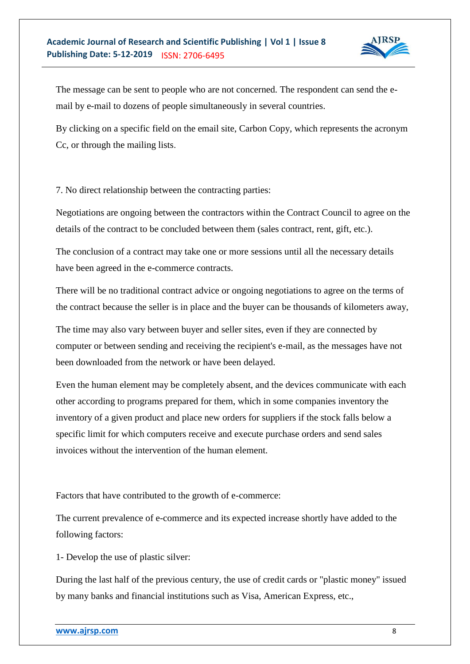

The message can be sent to people who are not concerned. The respondent can send the email by e-mail to dozens of people simultaneously in several countries.

By clicking on a specific field on the email site, Carbon Copy, which represents the acronym Cc, or through the mailing lists.

7. No direct relationship between the contracting parties:

Negotiations are ongoing between the contractors within the Contract Council to agree on the details of the contract to be concluded between them (sales contract, rent, gift, etc.).

The conclusion of a contract may take one or more sessions until all the necessary details have been agreed in the e-commerce contracts.

There will be no traditional contract advice or ongoing negotiations to agree on the terms of the contract because the seller is in place and the buyer can be thousands of kilometers away,

The time may also vary between buyer and seller sites, even if they are connected by computer or between sending and receiving the recipient's e-mail, as the messages have not been downloaded from the network or have been delayed.

Even the human element may be completely absent, and the devices communicate with each other according to programs prepared for them, which in some companies inventory the inventory of a given product and place new orders for suppliers if the stock falls below a specific limit for which computers receive and execute purchase orders and send sales invoices without the intervention of the human element.

Factors that have contributed to the growth of e-commerce:

The current prevalence of e-commerce and its expected increase shortly have added to the following factors:

1- Develop the use of plastic silver:

During the last half of the previous century, the use of credit cards or "plastic money" issued by many banks and financial institutions such as Visa, American Express, etc.,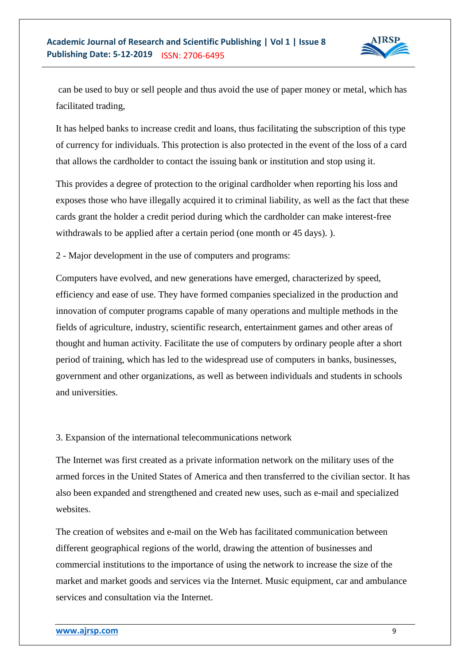

can be used to buy or sell people and thus avoid the use of paper money or metal, which has facilitated trading,

It has helped banks to increase credit and loans, thus facilitating the subscription of this type of currency for individuals. This protection is also protected in the event of the loss of a card that allows the cardholder to contact the issuing bank or institution and stop using it.

This provides a degree of protection to the original cardholder when reporting his loss and exposes those who have illegally acquired it to criminal liability, as well as the fact that these cards grant the holder a credit period during which the cardholder can make interest-free withdrawals to be applied after a certain period (one month or 45 days). ).

2 - Major development in the use of computers and programs:

Computers have evolved, and new generations have emerged, characterized by speed, efficiency and ease of use. They have formed companies specialized in the production and innovation of computer programs capable of many operations and multiple methods in the fields of agriculture, industry, scientific research, entertainment games and other areas of thought and human activity. Facilitate the use of computers by ordinary people after a short period of training, which has led to the widespread use of computers in banks, businesses, government and other organizations, as well as between individuals and students in schools and universities.

## 3. Expansion of the international telecommunications network

The Internet was first created as a private information network on the military uses of the armed forces in the United States of America and then transferred to the civilian sector. It has also been expanded and strengthened and created new uses, such as e-mail and specialized websites.

The creation of websites and e-mail on the Web has facilitated communication between different geographical regions of the world, drawing the attention of businesses and commercial institutions to the importance of using the network to increase the size of the market and market goods and services via the Internet. Music equipment, car and ambulance services and consultation via the Internet.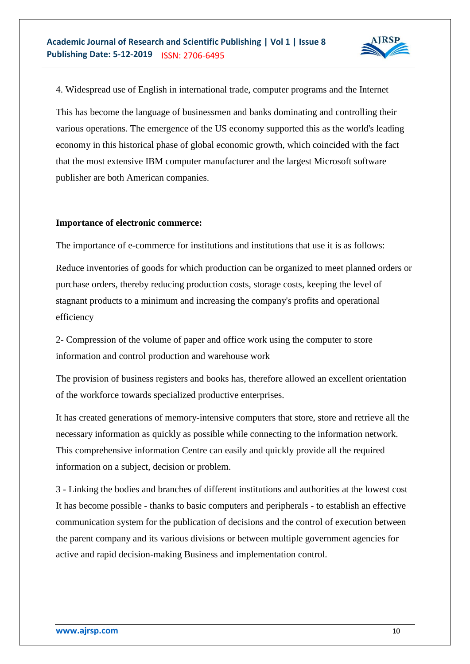

4. Widespread use of English in international trade, computer programs and the Internet

This has become the language of businessmen and banks dominating and controlling their various operations. The emergence of the US economy supported this as the world's leading economy in this historical phase of global economic growth, which coincided with the fact that the most extensive IBM computer manufacturer and the largest Microsoft software publisher are both American companies.

#### **Importance of electronic commerce:**

The importance of e-commerce for institutions and institutions that use it is as follows:

Reduce inventories of goods for which production can be organized to meet planned orders or purchase orders, thereby reducing production costs, storage costs, keeping the level of stagnant products to a minimum and increasing the company's profits and operational efficiency

2- Compression of the volume of paper and office work using the computer to store information and control production and warehouse work

The provision of business registers and books has, therefore allowed an excellent orientation of the workforce towards specialized productive enterprises.

It has created generations of memory-intensive computers that store, store and retrieve all the necessary information as quickly as possible while connecting to the information network. This comprehensive information Centre can easily and quickly provide all the required information on a subject, decision or problem.

3 - Linking the bodies and branches of different institutions and authorities at the lowest cost It has become possible - thanks to basic computers and peripherals - to establish an effective communication system for the publication of decisions and the control of execution between the parent company and its various divisions or between multiple government agencies for active and rapid decision-making Business and implementation control.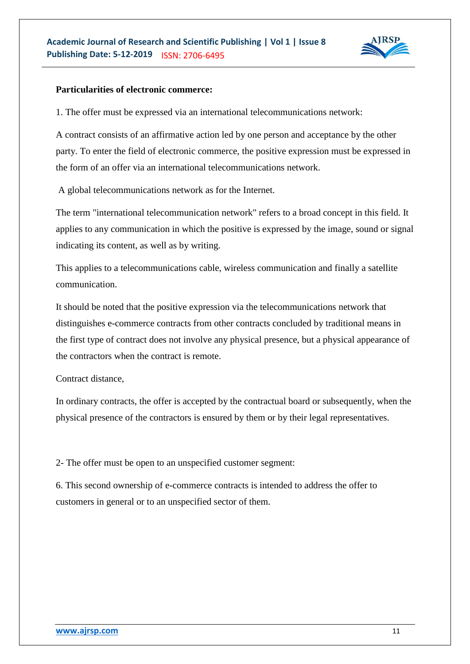

## **Particularities of electronic commerce:**

1. The offer must be expressed via an international telecommunications network:

A contract consists of an affirmative action led by one person and acceptance by the other party. To enter the field of electronic commerce, the positive expression must be expressed in the form of an offer via an international telecommunications network.

A global telecommunications network as for the Internet.

The term "international telecommunication network" refers to a broad concept in this field. It applies to any communication in which the positive is expressed by the image, sound or signal indicating its content, as well as by writing.

This applies to a telecommunications cable, wireless communication and finally a satellite communication.

It should be noted that the positive expression via the telecommunications network that distinguishes e-commerce contracts from other contracts concluded by traditional means in the first type of contract does not involve any physical presence, but a physical appearance of the contractors when the contract is remote.

Contract distance,

In ordinary contracts, the offer is accepted by the contractual board or subsequently, when the physical presence of the contractors is ensured by them or by their legal representatives.

2- The offer must be open to an unspecified customer segment:

6. This second ownership of e-commerce contracts is intended to address the offer to customers in general or to an unspecified sector of them.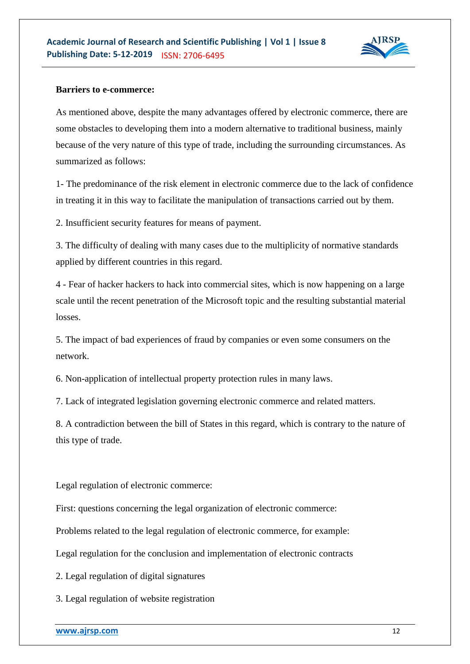

## **Barriers to e-commerce:**

As mentioned above, despite the many advantages offered by electronic commerce, there are some obstacles to developing them into a modern alternative to traditional business, mainly because of the very nature of this type of trade, including the surrounding circumstances. As summarized as follows:

1- The predominance of the risk element in electronic commerce due to the lack of confidence in treating it in this way to facilitate the manipulation of transactions carried out by them.

2. Insufficient security features for means of payment.

3. The difficulty of dealing with many cases due to the multiplicity of normative standards applied by different countries in this regard.

4 - Fear of hacker hackers to hack into commercial sites, which is now happening on a large scale until the recent penetration of the Microsoft topic and the resulting substantial material losses.

5. The impact of bad experiences of fraud by companies or even some consumers on the network.

6. Non-application of intellectual property protection rules in many laws.

7. Lack of integrated legislation governing electronic commerce and related matters.

8. A contradiction between the bill of States in this regard, which is contrary to the nature of this type of trade.

Legal regulation of electronic commerce:

First: questions concerning the legal organization of electronic commerce:

Problems related to the legal regulation of electronic commerce, for example:

Legal regulation for the conclusion and implementation of electronic contracts

2. Legal regulation of digital signatures

3. Legal regulation of website registration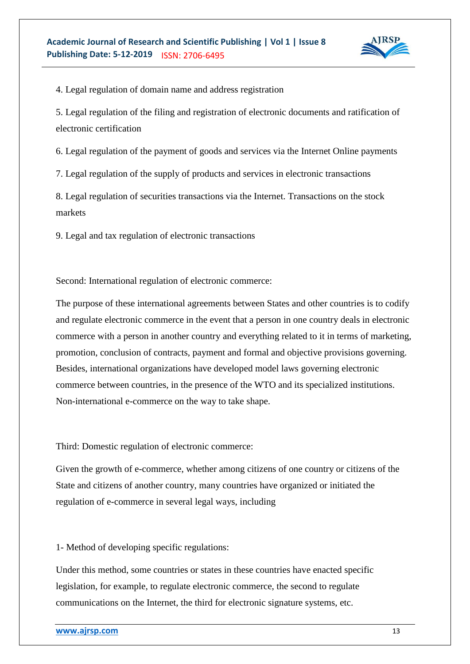

4. Legal regulation of domain name and address registration

5. Legal regulation of the filing and registration of electronic documents and ratification of electronic certification

6. Legal regulation of the payment of goods and services via the Internet Online payments

7. Legal regulation of the supply of products and services in electronic transactions

8. Legal regulation of securities transactions via the Internet. Transactions on the stock markets

9. Legal and tax regulation of electronic transactions

Second: International regulation of electronic commerce:

The purpose of these international agreements between States and other countries is to codify and regulate electronic commerce in the event that a person in one country deals in electronic commerce with a person in another country and everything related to it in terms of marketing, promotion, conclusion of contracts, payment and formal and objective provisions governing. Besides, international organizations have developed model laws governing electronic commerce between countries, in the presence of the WTO and its specialized institutions. Non-international e-commerce on the way to take shape.

Third: Domestic regulation of electronic commerce:

Given the growth of e-commerce, whether among citizens of one country or citizens of the State and citizens of another country, many countries have organized or initiated the regulation of e-commerce in several legal ways, including

1- Method of developing specific regulations:

Under this method, some countries or states in these countries have enacted specific legislation, for example, to regulate electronic commerce, the second to regulate communications on the Internet, the third for electronic signature systems, etc.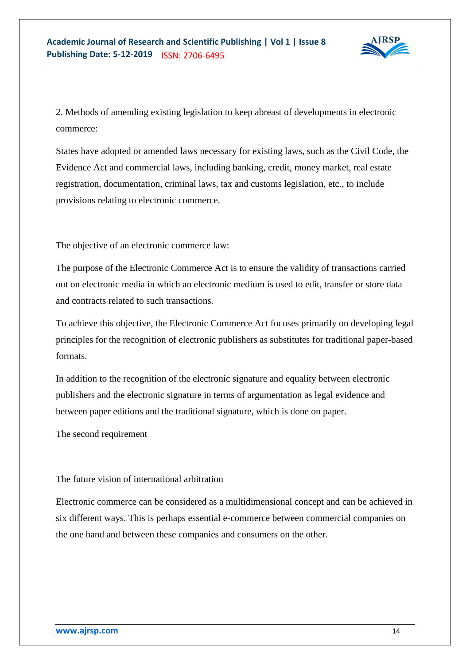

2. Methods of amending existing legislation to keep abreast of developments in electronic commerce:

States have adopted or amended laws necessary for existing laws, such as the Civil Code, the Evidence Act and commercial laws, including banking, credit, money market, real estate registration, documentation, criminal laws, tax and customs legislation, etc., to include provisions relating to electronic commerce.

The objective of an electronic commerce law:

The purpose of the Electronic Commerce Act is to ensure the validity of transactions carried out on electronic media in which an electronic medium is used to edit, transfer or store data and contracts related to such transactions.

To achieve this objective, the Electronic Commerce Act focuses primarily on developing legal principles for the recognition of electronic publishers as substitutes for traditional paper-based formats.

In addition to the recognition of the electronic signature and equality between electronic publishers and the electronic signature in terms of argumentation as legal evidence and between paper editions and the traditional signature, which is done on paper.

The second requirement

The future vision of international arbitration

Electronic commerce can be considered as a multidimensional concept and can be achieved in six different ways. This is perhaps essential e-commerce between commercial companies on the one hand and between these companies and consumers on the other.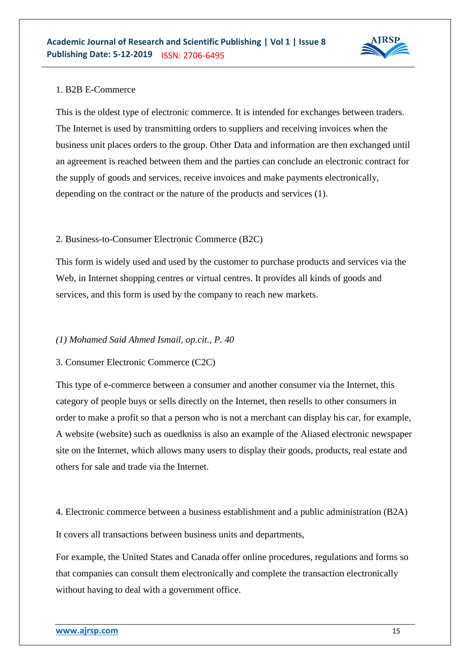

## 1. B2B E-Commerce

This is the oldest type of electronic commerce. It is intended for exchanges between traders. The Internet is used by transmitting orders to suppliers and receiving invoices when the business unit places orders to the group. Other Data and information are then exchanged until an agreement is reached between them and the parties can conclude an electronic contract for the supply of goods and services, receive invoices and make payments electronically, depending on the contract or the nature of the products and services (1).

## 2. Business-to-Consumer Electronic Commerce (B2C)

This form is widely used and used by the customer to purchase products and services via the Web, in Internet shopping centres or virtual centres. It provides all kinds of goods and services, and this form is used by the company to reach new markets.

## *(1) Mohamed Said Ahmed Ismail, op.cit., P. 40*

## 3. Consumer Electronic Commerce (C2C)

This type of e-commerce between a consumer and another consumer via the Internet, this category of people buys or sells directly on the Internet, then resells to other consumers in order to make a profit so that a person who is not a merchant can display his car, for example, A website (website) such as ouedkniss is also an example of the Aliased electronic newspaper site on the Internet, which allows many users to display their goods, products, real estate and others for sale and trade via the Internet.

4. Electronic commerce between a business establishment and a public administration (B2A) It covers all transactions between business units and departments,

For example, the United States and Canada offer online procedures, regulations and forms so that companies can consult them electronically and complete the transaction electronically without having to deal with a government office.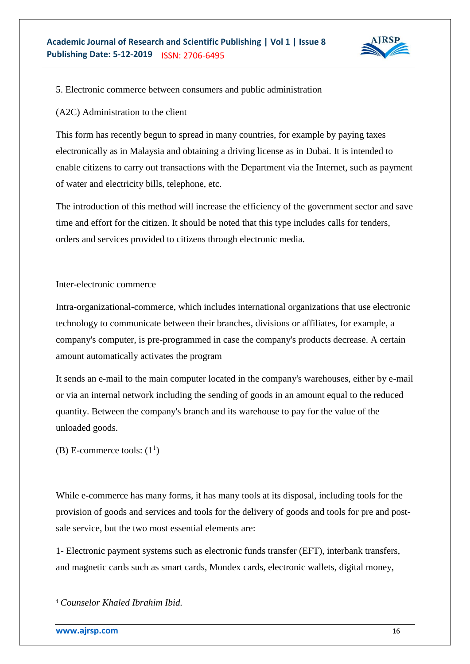

## 5. Electronic commerce between consumers and public administration

## (A2C) Administration to the client

This form has recently begun to spread in many countries, for example by paying taxes electronically as in Malaysia and obtaining a driving license as in Dubai. It is intended to enable citizens to carry out transactions with the Department via the Internet, such as payment of water and electricity bills, telephone, etc.

The introduction of this method will increase the efficiency of the government sector and save time and effort for the citizen. It should be noted that this type includes calls for tenders, orders and services provided to citizens through electronic media.

Inter-electronic commerce

Intra-organizational-commerce, which includes international organizations that use electronic technology to communicate between their branches, divisions or affiliates, for example, a company's computer, is pre-programmed in case the company's products decrease. A certain amount automatically activates the program

It sends an e-mail to the main computer located in the company's warehouses, either by e-mail or via an internal network including the sending of goods in an amount equal to the reduced quantity. Between the company's branch and its warehouse to pay for the value of the unloaded goods.

(B) E-commerce tools:  $(1^1)$ 

While e-commerce has many forms, it has many tools at its disposal, including tools for the provision of goods and services and tools for the delivery of goods and tools for pre and postsale service, but the two most essential elements are:

1- Electronic payment systems such as electronic funds transfer (EFT), interbank transfers, and magnetic cards such as smart cards, Mondex cards, electronic wallets, digital money,

 $\overline{a}$ 

<sup>1</sup> *Counselor Khaled Ibrahim Ibid.*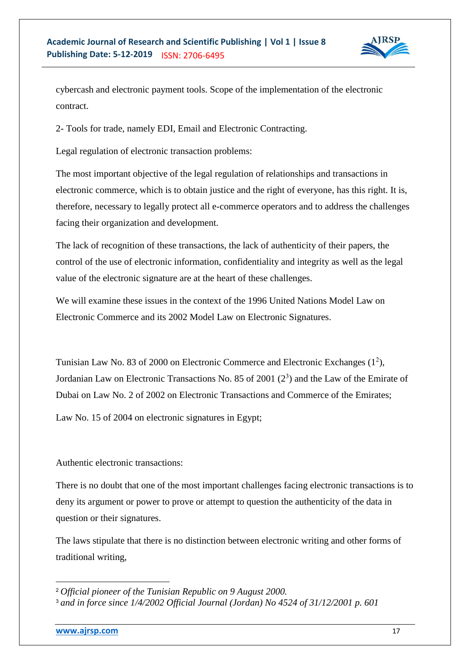

cybercash and electronic payment tools. Scope of the implementation of the electronic contract.

2- Tools for trade, namely EDI, Email and Electronic Contracting.

Legal regulation of electronic transaction problems:

The most important objective of the legal regulation of relationships and transactions in electronic commerce, which is to obtain justice and the right of everyone, has this right. It is, therefore, necessary to legally protect all e-commerce operators and to address the challenges facing their organization and development.

The lack of recognition of these transactions, the lack of authenticity of their papers, the control of the use of electronic information, confidentiality and integrity as well as the legal value of the electronic signature are at the heart of these challenges.

We will examine these issues in the context of the 1996 United Nations Model Law on Electronic Commerce and its 2002 Model Law on Electronic Signatures.

Tunisian Law No. 83 of 2000 on Electronic Commerce and Electronic Exchanges  $(1^2)$ , Jordanian Law on Electronic Transactions No. 85 of 2001  $(2^3)$  and the Law of the Emirate of Dubai on Law No. 2 of 2002 on Electronic Transactions and Commerce of the Emirates;

Law No. 15 of 2004 on electronic signatures in Egypt;

Authentic electronic transactions:

There is no doubt that one of the most important challenges facing electronic transactions is to deny its argument or power to prove or attempt to question the authenticity of the data in question or their signatures.

The laws stipulate that there is no distinction between electronic writing and other forms of traditional writing,

1

<sup>2</sup> *Official pioneer of the Tunisian Republic on 9 August 2000.*

<sup>3</sup> *and in force since 1/4/2002 Official Journal (Jordan) No 4524 of 31/12/2001 p. 601*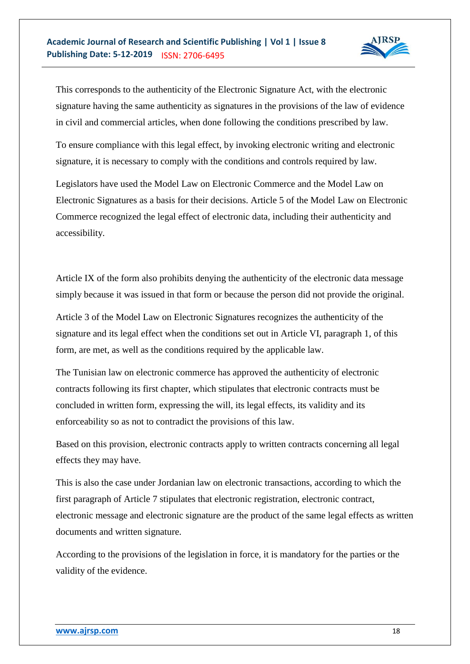

This corresponds to the authenticity of the Electronic Signature Act, with the electronic signature having the same authenticity as signatures in the provisions of the law of evidence in civil and commercial articles, when done following the conditions prescribed by law.

To ensure compliance with this legal effect, by invoking electronic writing and electronic signature, it is necessary to comply with the conditions and controls required by law.

Legislators have used the Model Law on Electronic Commerce and the Model Law on Electronic Signatures as a basis for their decisions. Article 5 of the Model Law on Electronic Commerce recognized the legal effect of electronic data, including their authenticity and accessibility.

Article IX of the form also prohibits denying the authenticity of the electronic data message simply because it was issued in that form or because the person did not provide the original.

Article 3 of the Model Law on Electronic Signatures recognizes the authenticity of the signature and its legal effect when the conditions set out in Article VI, paragraph 1, of this form, are met, as well as the conditions required by the applicable law.

The Tunisian law on electronic commerce has approved the authenticity of electronic contracts following its first chapter, which stipulates that electronic contracts must be concluded in written form, expressing the will, its legal effects, its validity and its enforceability so as not to contradict the provisions of this law.

Based on this provision, electronic contracts apply to written contracts concerning all legal effects they may have.

This is also the case under Jordanian law on electronic transactions, according to which the first paragraph of Article 7 stipulates that electronic registration, electronic contract, electronic message and electronic signature are the product of the same legal effects as written documents and written signature.

According to the provisions of the legislation in force, it is mandatory for the parties or the validity of the evidence.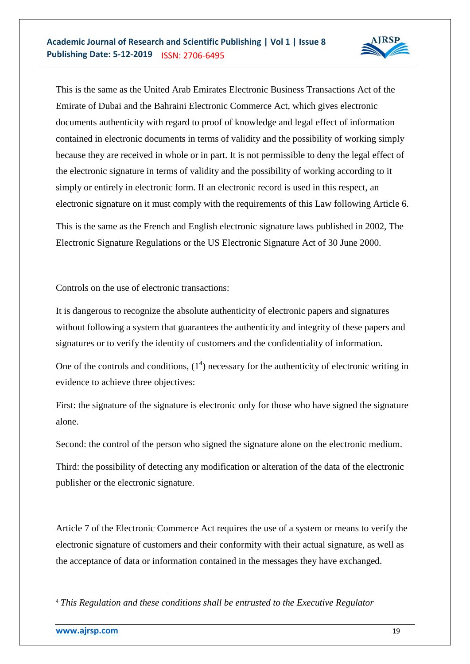

This is the same as the United Arab Emirates Electronic Business Transactions Act of the Emirate of Dubai and the Bahraini Electronic Commerce Act, which gives electronic documents authenticity with regard to proof of knowledge and legal effect of information contained in electronic documents in terms of validity and the possibility of working simply because they are received in whole or in part. It is not permissible to deny the legal effect of the electronic signature in terms of validity and the possibility of working according to it simply or entirely in electronic form. If an electronic record is used in this respect, an electronic signature on it must comply with the requirements of this Law following Article 6.

This is the same as the French and English electronic signature laws published in 2002, The Electronic Signature Regulations or the US Electronic Signature Act of 30 June 2000.

Controls on the use of electronic transactions:

It is dangerous to recognize the absolute authenticity of electronic papers and signatures without following a system that guarantees the authenticity and integrity of these papers and signatures or to verify the identity of customers and the confidentiality of information.

One of the controls and conditions,  $(1<sup>4</sup>)$  necessary for the authenticity of electronic writing in evidence to achieve three objectives:

First: the signature of the signature is electronic only for those who have signed the signature alone.

Second: the control of the person who signed the signature alone on the electronic medium.

Third: the possibility of detecting any modification or alteration of the data of the electronic publisher or the electronic signature.

Article 7 of the Electronic Commerce Act requires the use of a system or means to verify the electronic signature of customers and their conformity with their actual signature, as well as the acceptance of data or information contained in the messages they have exchanged.

 $\overline{a}$ 

<sup>4</sup> *This Regulation and these conditions shall be entrusted to the Executive Regulator*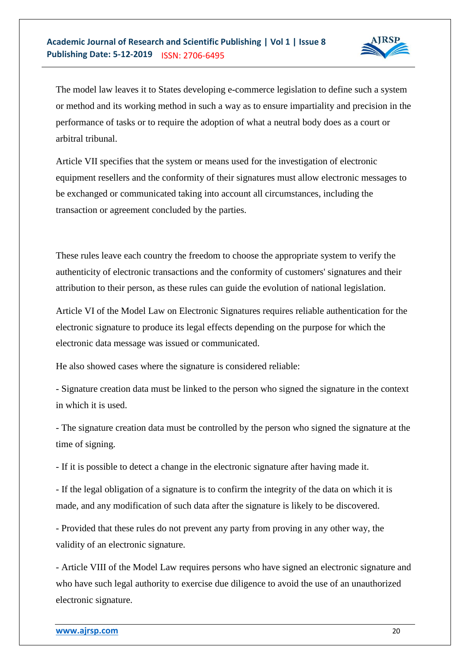

The model law leaves it to States developing e-commerce legislation to define such a system or method and its working method in such a way as to ensure impartiality and precision in the performance of tasks or to require the adoption of what a neutral body does as a court or arbitral tribunal.

Article VII specifies that the system or means used for the investigation of electronic equipment resellers and the conformity of their signatures must allow electronic messages to be exchanged or communicated taking into account all circumstances, including the transaction or agreement concluded by the parties.

These rules leave each country the freedom to choose the appropriate system to verify the authenticity of electronic transactions and the conformity of customers' signatures and their attribution to their person, as these rules can guide the evolution of national legislation.

Article VI of the Model Law on Electronic Signatures requires reliable authentication for the electronic signature to produce its legal effects depending on the purpose for which the electronic data message was issued or communicated.

He also showed cases where the signature is considered reliable:

- Signature creation data must be linked to the person who signed the signature in the context in which it is used.

- The signature creation data must be controlled by the person who signed the signature at the time of signing.

- If it is possible to detect a change in the electronic signature after having made it.

- If the legal obligation of a signature is to confirm the integrity of the data on which it is made, and any modification of such data after the signature is likely to be discovered.

- Provided that these rules do not prevent any party from proving in any other way, the validity of an electronic signature.

- Article VIII of the Model Law requires persons who have signed an electronic signature and who have such legal authority to exercise due diligence to avoid the use of an unauthorized electronic signature.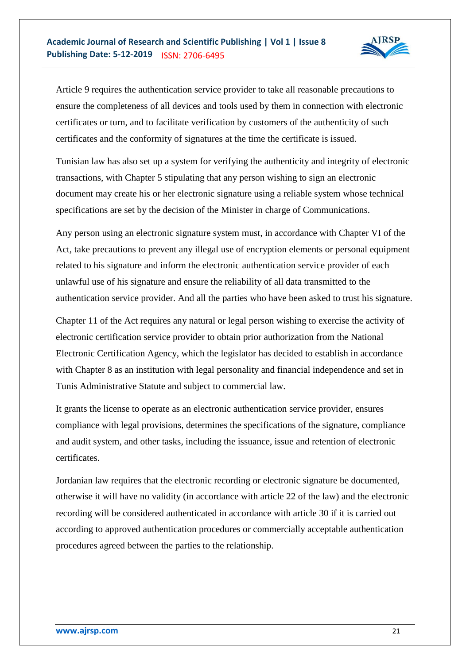

Article 9 requires the authentication service provider to take all reasonable precautions to ensure the completeness of all devices and tools used by them in connection with electronic certificates or turn, and to facilitate verification by customers of the authenticity of such certificates and the conformity of signatures at the time the certificate is issued.

Tunisian law has also set up a system for verifying the authenticity and integrity of electronic transactions, with Chapter 5 stipulating that any person wishing to sign an electronic document may create his or her electronic signature using a reliable system whose technical specifications are set by the decision of the Minister in charge of Communications.

Any person using an electronic signature system must, in accordance with Chapter VI of the Act, take precautions to prevent any illegal use of encryption elements or personal equipment related to his signature and inform the electronic authentication service provider of each unlawful use of his signature and ensure the reliability of all data transmitted to the authentication service provider. And all the parties who have been asked to trust his signature.

Chapter 11 of the Act requires any natural or legal person wishing to exercise the activity of electronic certification service provider to obtain prior authorization from the National Electronic Certification Agency, which the legislator has decided to establish in accordance with Chapter 8 as an institution with legal personality and financial independence and set in Tunis Administrative Statute and subject to commercial law.

It grants the license to operate as an electronic authentication service provider, ensures compliance with legal provisions, determines the specifications of the signature, compliance and audit system, and other tasks, including the issuance, issue and retention of electronic certificates.

Jordanian law requires that the electronic recording or electronic signature be documented, otherwise it will have no validity (in accordance with article 22 of the law) and the electronic recording will be considered authenticated in accordance with article 30 if it is carried out according to approved authentication procedures or commercially acceptable authentication procedures agreed between the parties to the relationship.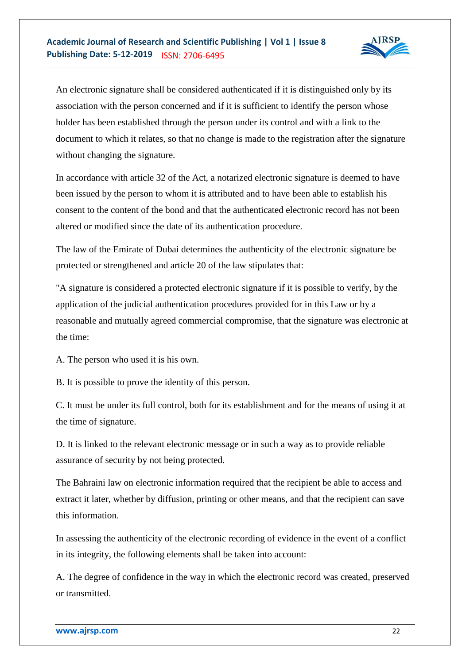

An electronic signature shall be considered authenticated if it is distinguished only by its association with the person concerned and if it is sufficient to identify the person whose holder has been established through the person under its control and with a link to the document to which it relates, so that no change is made to the registration after the signature without changing the signature.

In accordance with article 32 of the Act, a notarized electronic signature is deemed to have been issued by the person to whom it is attributed and to have been able to establish his consent to the content of the bond and that the authenticated electronic record has not been altered or modified since the date of its authentication procedure.

The law of the Emirate of Dubai determines the authenticity of the electronic signature be protected or strengthened and article 20 of the law stipulates that:

"A signature is considered a protected electronic signature if it is possible to verify, by the application of the judicial authentication procedures provided for in this Law or by a reasonable and mutually agreed commercial compromise, that the signature was electronic at the time:

A. The person who used it is his own.

B. It is possible to prove the identity of this person.

C. It must be under its full control, both for its establishment and for the means of using it at the time of signature.

D. It is linked to the relevant electronic message or in such a way as to provide reliable assurance of security by not being protected.

The Bahraini law on electronic information required that the recipient be able to access and extract it later, whether by diffusion, printing or other means, and that the recipient can save this information.

In assessing the authenticity of the electronic recording of evidence in the event of a conflict in its integrity, the following elements shall be taken into account:

A. The degree of confidence in the way in which the electronic record was created, preserved or transmitted.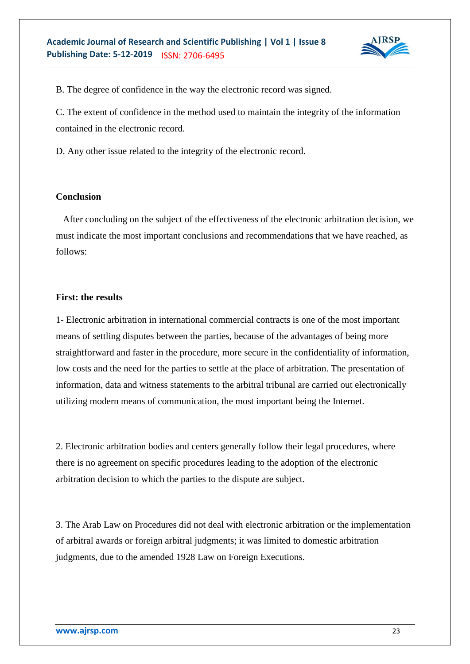

B. The degree of confidence in the way the electronic record was signed.

C. The extent of confidence in the method used to maintain the integrity of the information contained in the electronic record.

D. Any other issue related to the integrity of the electronic record.

#### **Conclusion**

 After concluding on the subject of the effectiveness of the electronic arbitration decision, we must indicate the most important conclusions and recommendations that we have reached, as follows:

## **First: the results**

1- Electronic arbitration in international commercial contracts is one of the most important means of settling disputes between the parties, because of the advantages of being more straightforward and faster in the procedure, more secure in the confidentiality of information, low costs and the need for the parties to settle at the place of arbitration. The presentation of information, data and witness statements to the arbitral tribunal are carried out electronically utilizing modern means of communication, the most important being the Internet.

2. Electronic arbitration bodies and centers generally follow their legal procedures, where there is no agreement on specific procedures leading to the adoption of the electronic arbitration decision to which the parties to the dispute are subject.

3. The Arab Law on Procedures did not deal with electronic arbitration or the implementation of arbitral awards or foreign arbitral judgments; it was limited to domestic arbitration judgments, due to the amended 1928 Law on Foreign Executions.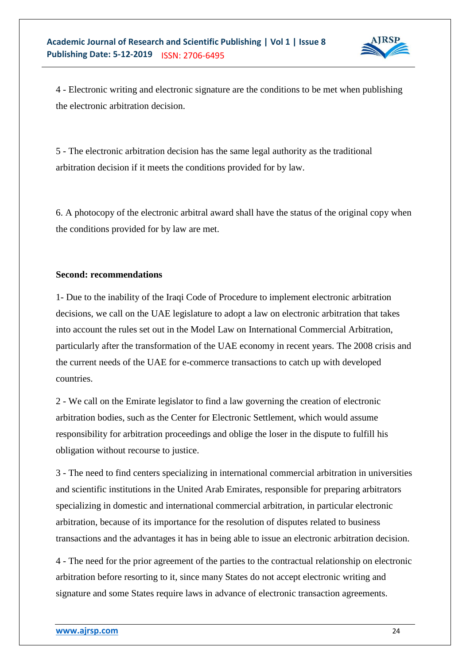

4 - Electronic writing and electronic signature are the conditions to be met when publishing the electronic arbitration decision.

5 - The electronic arbitration decision has the same legal authority as the traditional arbitration decision if it meets the conditions provided for by law.

6. A photocopy of the electronic arbitral award shall have the status of the original copy when the conditions provided for by law are met.

## **Second: recommendations**

1- Due to the inability of the Iraqi Code of Procedure to implement electronic arbitration decisions, we call on the UAE legislature to adopt a law on electronic arbitration that takes into account the rules set out in the Model Law on International Commercial Arbitration, particularly after the transformation of the UAE economy in recent years. The 2008 crisis and the current needs of the UAE for e-commerce transactions to catch up with developed countries.

2 - We call on the Emirate legislator to find a law governing the creation of electronic arbitration bodies, such as the Center for Electronic Settlement, which would assume responsibility for arbitration proceedings and oblige the loser in the dispute to fulfill his obligation without recourse to justice.

3 - The need to find centers specializing in international commercial arbitration in universities and scientific institutions in the United Arab Emirates, responsible for preparing arbitrators specializing in domestic and international commercial arbitration, in particular electronic arbitration, because of its importance for the resolution of disputes related to business transactions and the advantages it has in being able to issue an electronic arbitration decision.

4 - The need for the prior agreement of the parties to the contractual relationship on electronic arbitration before resorting to it, since many States do not accept electronic writing and signature and some States require laws in advance of electronic transaction agreements.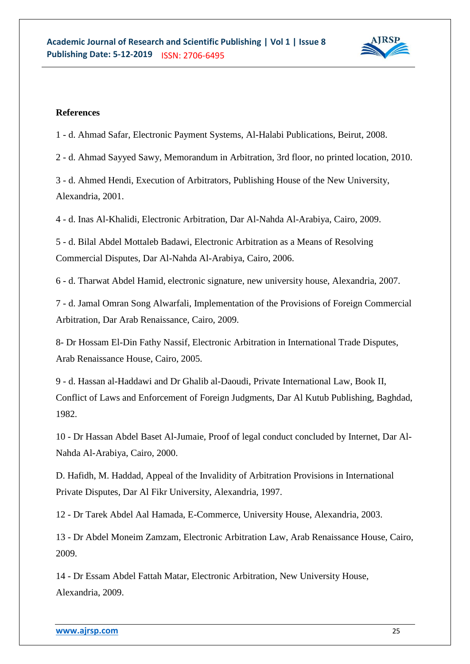

## **References**

1 - d. Ahmad Safar, Electronic Payment Systems, Al-Halabi Publications, Beirut, 2008.

2 - d. Ahmad Sayyed Sawy, Memorandum in Arbitration, 3rd floor, no printed location, 2010.

3 - d. Ahmed Hendi, Execution of Arbitrators, Publishing House of the New University, Alexandria, 2001.

4 - d. Inas Al-Khalidi, Electronic Arbitration, Dar Al-Nahda Al-Arabiya, Cairo, 2009.

5 - d. Bilal Abdel Mottaleb Badawi, Electronic Arbitration as a Means of Resolving Commercial Disputes, Dar Al-Nahda Al-Arabiya, Cairo, 2006.

6 - d. Tharwat Abdel Hamid, electronic signature, new university house, Alexandria, 2007.

7 - d. Jamal Omran Song Alwarfali, Implementation of the Provisions of Foreign Commercial Arbitration, Dar Arab Renaissance, Cairo, 2009.

8- Dr Hossam El-Din Fathy Nassif, Electronic Arbitration in International Trade Disputes, Arab Renaissance House, Cairo, 2005.

9 - d. Hassan al-Haddawi and Dr Ghalib al-Daoudi, Private International Law, Book II, Conflict of Laws and Enforcement of Foreign Judgments, Dar Al Kutub Publishing, Baghdad, 1982.

10 - Dr Hassan Abdel Baset Al-Jumaie, Proof of legal conduct concluded by Internet, Dar Al-Nahda Al-Arabiya, Cairo, 2000.

D. Hafidh, M. Haddad, Appeal of the Invalidity of Arbitration Provisions in International Private Disputes, Dar Al Fikr University, Alexandria, 1997.

12 - Dr Tarek Abdel Aal Hamada, E-Commerce, University House, Alexandria, 2003.

13 - Dr Abdel Moneim Zamzam, Electronic Arbitration Law, Arab Renaissance House, Cairo, 2009.

14 - Dr Essam Abdel Fattah Matar, Electronic Arbitration, New University House, Alexandria, 2009.